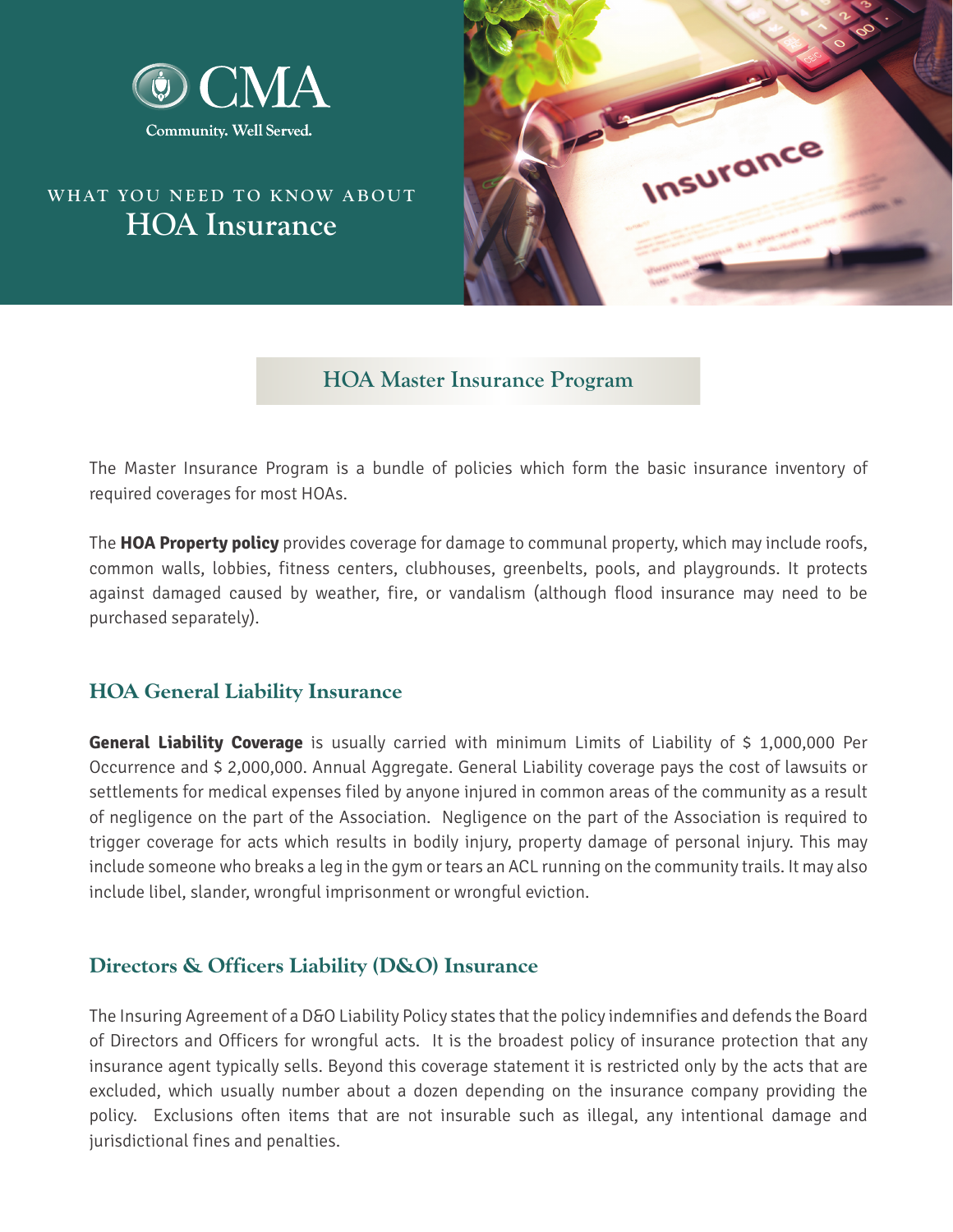

# **WHAT YOU NEED TO KNOW ABOUT HOA Insurance**



### **HOA Master Insurance Program**

The Master Insurance Program is a bundle of policies which form the basic insurance inventory of required coverages for most HOAs.

The **HOA Property policy** provides coverage for damage to communal property, which may include roofs, common walls, lobbies, fitness centers, clubhouses, greenbelts, pools, and playgrounds. It protects against damaged caused by weather, fire, or vandalism (although flood insurance may need to be purchased separately).

#### **HOA General Liability Insurance**

**General Liability Coverage** is usually carried with minimum Limits of Liability of \$ 1,000,000 Per Occurrence and \$ 2,000,000. Annual Aggregate. General Liability coverage pays the cost of lawsuits or settlements for medical expenses filed by anyone injured in common areas of the community as a result of negligence on the part of the Association. Negligence on the part of the Association is required to trigger coverage for acts which results in bodily injury, property damage of personal injury. This may include someone who breaks a leg in the gym or tears an ACL running on the community trails. It may also include libel, slander, wrongful imprisonment or wrongful eviction.

### **Directors & Officers Liability (D&O) Insurance**

The Insuring Agreement of a D&O Liability Policy states that the policy indemnifies and defends the Board of Directors and Officers for wrongful acts. It is the broadest policy of insurance protection that any insurance agent typically sells. Beyond this coverage statement it is restricted only by the acts that are excluded, which usually number about a dozen depending on the insurance company providing the policy. Exclusions often items that are not insurable such as illegal, any intentional damage and jurisdictional fines and penalties.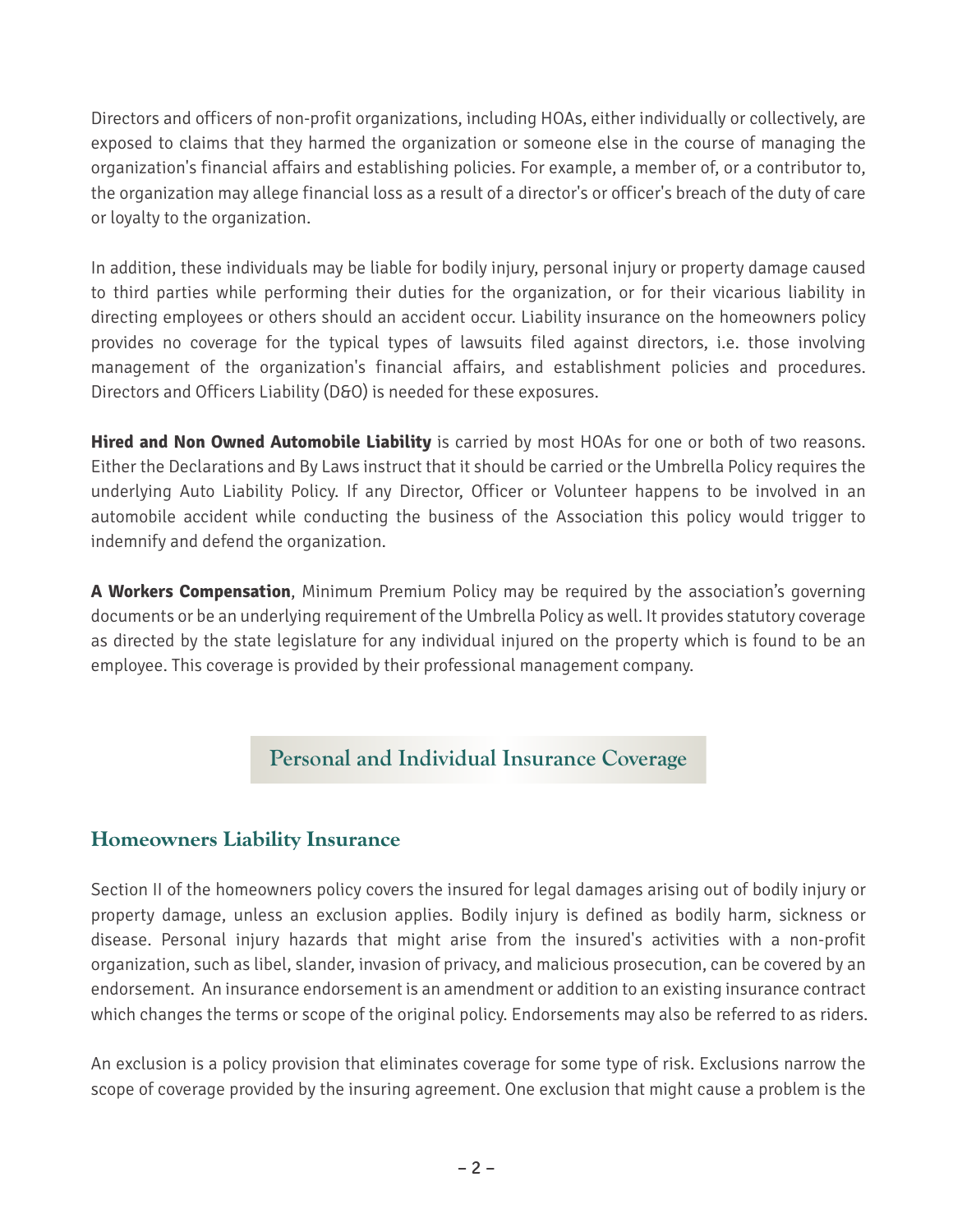Directors and officers of non-profit organizations, including HOAs, either individually or collectively, are exposed to claims that they harmed the organization or someone else in the course of managing the organization's financial affairs and establishing policies. For example, a member of, or a contributor to, the organization may allege financial loss as a result of a director's or officer's breach of the duty of care or loyalty to the organization.

In addition, these individuals may be liable for bodily injury, personal injury or property damage caused to third parties while performing their duties for the organization, or for their vicarious liability in directing employees or others should an accident occur. Liability insurance on the homeowners policy provides no coverage for the typical types of lawsuits filed against directors, i.e. those involving management of the organization's financial affairs, and establishment policies and procedures. Directors and Officers Liability (D&O) is needed for these exposures.

**Hired and Non Owned Automobile Liability** is carried by most HOAs for one or both of two reasons. Either the Declarations and By Laws instruct that it should be carried or the Umbrella Policy requires the underlying Auto Liability Policy. If any Director, Officer or Volunteer happens to be involved in an automobile accident while conducting the business of the Association this policy would trigger to indemnify and defend the organization.

**A Workers Compensation**, Minimum Premium Policy may be required by the association's governing documents or be an underlying requirement of the Umbrella Policy as well. It provides statutory coverage as directed by the state legislature for any individual injured on the property which is found to be an employee. This coverage is provided by their professional management company.

## **Personal and Individual Insurance Coverage**

#### **Homeowners Liability Insurance**

Section II of the homeowners policy covers the insured for legal damages arising out of bodily injury or property damage, unless an exclusion applies. Bodily injury is defined as bodily harm, sickness or disease. Personal injury hazards that might arise from the insured's activities with a non-profit organization, such as libel, slander, invasion of privacy, and malicious prosecution, can be covered by an endorsement. An insurance endorsement is an amendment or addition to an existing insurance contract which changes the terms or scope of the original policy. Endorsements may also be referred to as riders.

An exclusion is a policy provision that eliminates coverage for some type of risk. Exclusions narrow the scope of coverage provided by the insuring agreement. One exclusion that might cause a problem is the